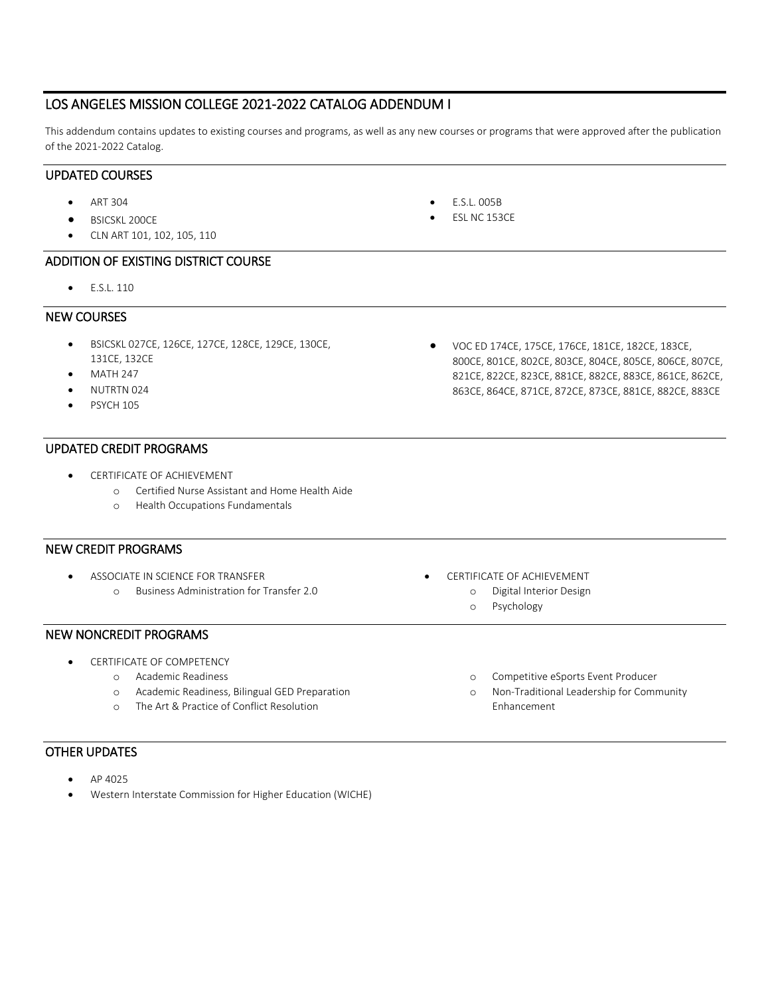## LOS ANGELES MISSION COLLEGE 2021-2022 CATALOG ADDENDUM I

This addendum contains updates to existing courses and programs, as well as any new courses or programs that were approved after the publication of the 2021-2022 Catalog.

## UPDATED COURSES

- ART 304
- BSICSKL 200CE
- CLN ART 101, 102, 105, 110

## ADDITION OF EXISTING DISTRICT COURSE

• E.S.L. 110

## NEW COURSES

- BSICSKL 027CE, 126CE, 127CE, 128CE, 129CE, 130CE, 131CE, 132CE
- MATH 247
- NUTRTN 024
- **PSYCH 105**

## UPDATED CREDIT PROGRAMS

- CERTIFICATE OF ACHIEVEMENT
	- o Certified Nurse Assistant and Home Health Aide
	- o Health Occupations Fundamentals

## NEW CREDIT PROGRAMS

• ASSOCIATE IN SCIENCE FOR TRANSFER o Business Administration for Transfer 2.0

## NEW NONCREDIT PROGRAMS

- CERTIFICATE OF COMPETENCY
	- o Academic Readiness
	- o Academic Readiness, Bilingual GED Preparation
	- o The Art & Practice of Conflict Resolution

## OTHER UPDATES

- AP 4025
- Western Interstate Commission for Higher Education (WICHE)

• VOC ED 174CE, 175CE, 176CE, 181CE, 182CE, 183CE, 800CE, 801CE, 802CE, 803CE, 804CE, 805CE, 806CE, 807CE, 821CE, 822CE, 823CE, 881CE, 882CE, 883CE, 861CE, 862CE, 863CE, 864CE, 871CE, 872CE, 873CE, 881CE, 882CE, 883CE

- CERTIFICATE OF ACHIEVEMENT
	- o Digital Interior Design
		- o Psychology
		- o Competitive eSports Event Producer
		- o Non-Traditional Leadership for Community Enhancement
- E.S.L. 005B
- ESL NC 153CE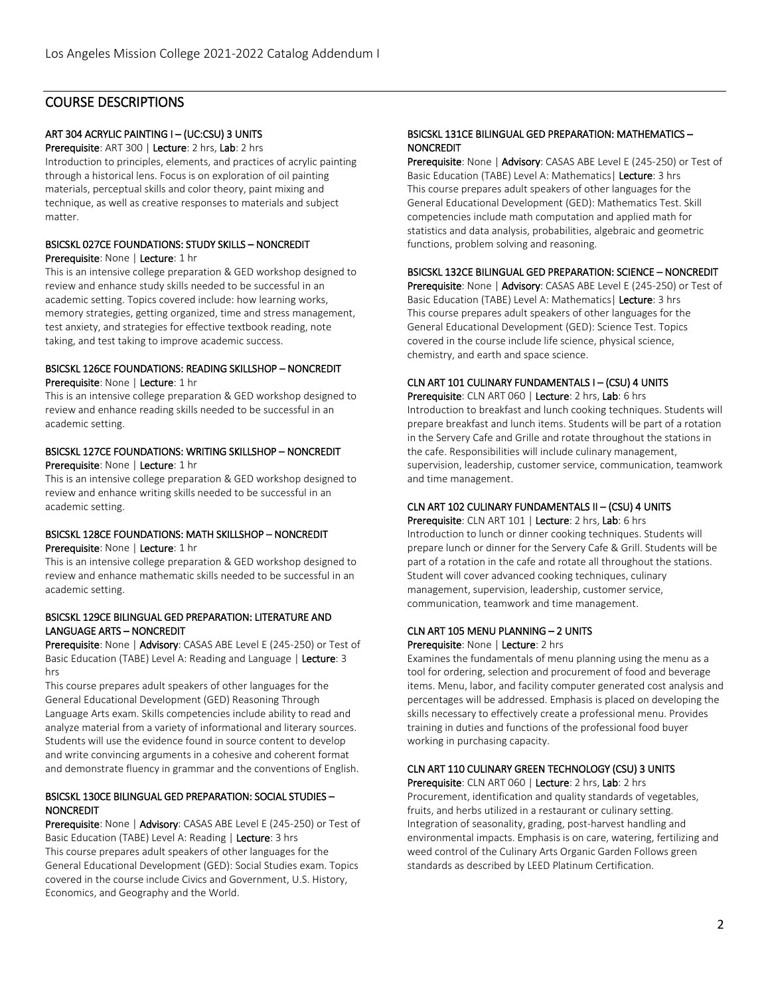## COURSE DESCRIPTIONS

### ART 304 ACRYLIC PAINTING I – (UC:CSU) 3 UNITS

Prerequisite: ART 300 | Lecture: 2 hrs, Lab: 2 hrs Introduction to principles, elements, and practices of acrylic painting through a historical lens. Focus is on exploration of oil painting materials, perceptual skills and color theory, paint mixing and technique, as well as creative responses to materials and subject matter.

# BSICSKL 027CE FOUNDATIONS: STUDY SKILLS – NONCREDIT

Prerequisite: None | Lecture: 1 hr

This is an intensive college preparation & GED workshop designed to review and enhance study skills needed to be successful in an academic setting. Topics covered include: how learning works, memory strategies, getting organized, time and stress management, test anxiety, and strategies for effective textbook reading, note taking, and test taking to improve academic success.

## BSICSKL 126CE FOUNDATIONS: READING SKILLSHOP – NONCREDIT

Prerequisite: None | Lecture: 1 hr

This is an intensive college preparation & GED workshop designed to review and enhance reading skills needed to be successful in an academic setting.

### BSICSKL 127CE FOUNDATIONS: WRITING SKILLSHOP – NONCREDIT Prerequisite: None | Lecture: 1 hr

This is an intensive college preparation & GED workshop designed to review and enhance writing skills needed to be successful in an academic setting.

### BSICSKL 128CE FOUNDATIONS: MATH SKILLSHOP – NONCREDIT Prerequisite: None | Lecture: 1 hr

This is an intensive college preparation & GED workshop designed to review and enhance mathematic skills needed to be successful in an academic setting.

### BSICSKL 129CE BILINGUAL GED PREPARATION: LITERATURE AND LANGUAGE ARTS – NONCREDIT

Prerequisite: None | Advisory: CASAS ABE Level E (245-250) or Test of Basic Education (TABE) Level A: Reading and Language | Lecture: 3 hrs

This course prepares adult speakers of other languages for the General Educational Development (GED) Reasoning Through Language Arts exam. Skills competencies include ability to read and analyze material from a variety of informational and literary sources. Students will use the evidence found in source content to develop and write convincing arguments in a cohesive and coherent format and demonstrate fluency in grammar and the conventions of English.

## BSICSKL 130CE BILINGUAL GED PREPARATION: SOCIAL STUDIES – **NONCREDIT**

Prerequisite: None | Advisory: CASAS ABE Level E (245-250) or Test of Basic Education (TABE) Level A: Reading | Lecture: 3 hrs This course prepares adult speakers of other languages for the General Educational Development (GED): Social Studies exam. Topics covered in the course include Civics and Government, U.S. History, Economics, and Geography and the World.

### BSICSKL 131CE BILINGUAL GED PREPARATION: MATHEMATICS – NONCREDIT

Prerequisite: None | Advisory: CASAS ABE Level E (245-250) or Test of Basic Education (TABE) Level A: Mathematics | Lecture: 3 hrs This course prepares adult speakers of other languages for the General Educational Development (GED): Mathematics Test. Skill competencies include math computation and applied math for statistics and data analysis, probabilities, algebraic and geometric functions, problem solving and reasoning.

## BSICSKL 132CE BILINGUAL GED PREPARATION: SCIENCE – NONCREDIT

Prerequisite: None | Advisory: CASAS ABE Level E (245-250) or Test of Basic Education (TABE) Level A: Mathematics | Lecture: 3 hrs This course prepares adult speakers of other languages for the General Educational Development (GED): Science Test. Topics covered in the course include life science, physical science, chemistry, and earth and space science.

### CLN ART 101 CULINARY FUNDAMENTALS I – (CSU) 4 UNITS Prerequisite: CLN ART 060 | Lecture: 2 hrs, Lab: 6 hrs

Introduction to breakfast and lunch cooking techniques. Students will prepare breakfast and lunch items. Students will be part of a rotation in the Servery Cafe and Grille and rotate throughout the stations in the cafe. Responsibilities will include culinary management, supervision, leadership, customer service, communication, teamwork and time management.

### CLN ART 102 CULINARY FUNDAMENTALS II – (CSU) 4 UNITS Prerequisite: CLN ART 101 | Lecture: 2 hrs, Lab: 6 hrs

Introduction to lunch or dinner cooking techniques. Students will prepare lunch or dinner for the Servery Cafe & Grill. Students will be part of a rotation in the cafe and rotate all throughout the stations. Student will cover advanced cooking techniques, culinary management, supervision, leadership, customer service, communication, teamwork and time management.

## CLN ART 105 MENU PLANNING – 2 UNITS

Prerequisite: None | Lecture: 2 hrs

Examines the fundamentals of menu planning using the menu as a tool for ordering, selection and procurement of food and beverage items. Menu, labor, and facility computer generated cost analysis and percentages will be addressed. Emphasis is placed on developing the skills necessary to effectively create a professional menu. Provides training in duties and functions of the professional food buyer working in purchasing capacity.

## CLN ART 110 CULINARY GREEN TECHNOLOGY (CSU) 3 UNITS

Prerequisite: CLN ART 060 | Lecture: 2 hrs, Lab: 2 hrs Procurement, identification and quality standards of vegetables, fruits, and herbs utilized in a restaurant or culinary setting. Integration of seasonality, grading, post-harvest handling and environmental impacts. Emphasis is on care, watering, fertilizing and weed control of the Culinary Arts Organic Garden Follows green standards as described by LEED Platinum Certification.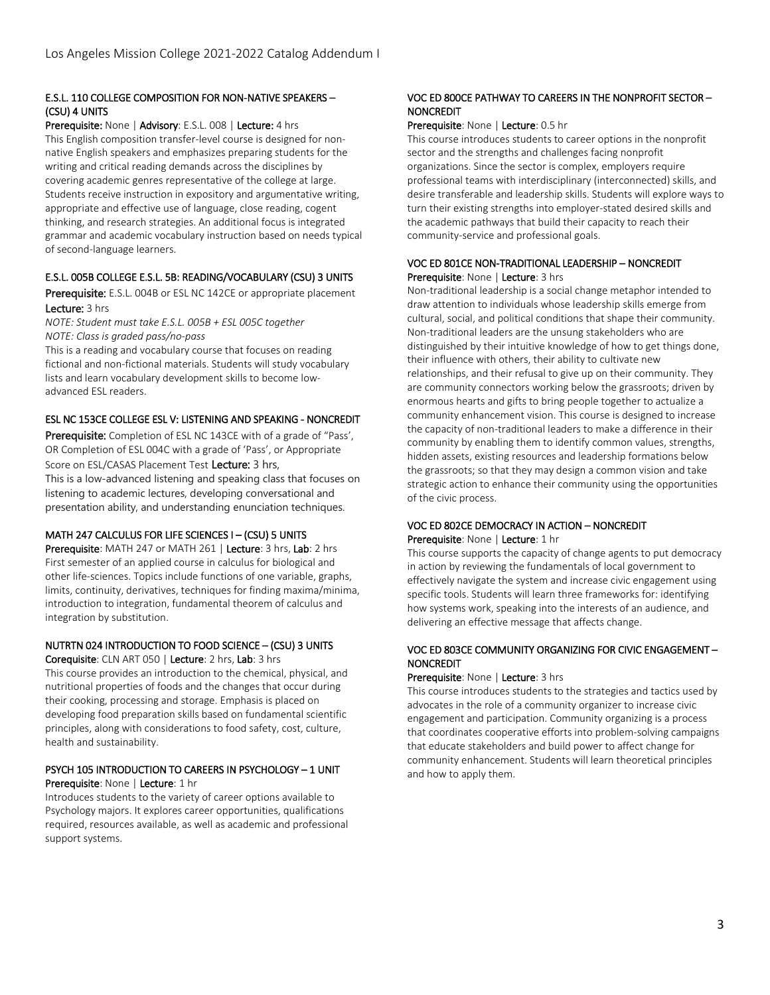### E.S.L. 110 COLLEGE COMPOSITION FOR NON-NATIVE SPEAKERS – (CSU) 4 UNITS

Prerequisite: None | Advisory: E.S.L. 008 | Lecture: 4 hrs

This English composition transfer-level course is designed for nonnative English speakers and emphasizes preparing students for the writing and critical reading demands across the disciplines by covering academic genres representative of the college at large. Students receive instruction in expository and argumentative writing, appropriate and effective use of language, close reading, cogent thinking, and research strategies. An additional focus is integrated grammar and academic vocabulary instruction based on needs typical of second-language learners.

### E.S.L. 005B COLLEGE E.S.L. 5B: READING/VOCABULARY (CSU) 3 UNITS

Prerequisite: E.S.L. 004B or ESL NC 142CE or appropriate placement Lecture: 3 hrs

*NOTE: Student must take E.S.L. 005B + ESL 005C together NOTE: Class is graded pass/no-pass* 

This is a reading and vocabulary course that focuses on reading fictional and non-fictional materials. Students will study vocabulary lists and learn vocabulary development skills to become lowadvanced ESL readers.

### ESL NC 153CE COLLEGE ESL V: LISTENING AND SPEAKING - NONCREDIT

Prerequisite: Completion of ESL NC 143CE with of a grade of "Pass', OR Completion of ESL 004C with a grade of 'Pass', or Appropriate Score on ESL/CASAS Placement Test Lecture: 3 hrs,

This is a low-advanced listening and speaking class that focuses on listening to academic lectures, developing conversational and presentation ability, and understanding enunciation techniques.

### MATH 247 CALCULUS FOR LIFE SCIENCES I – (CSU) 5 UNITS

Prerequisite: MATH 247 or MATH 261 | Lecture: 3 hrs, Lab: 2 hrs First semester of an applied course in calculus for biological and other life-sciences. Topics include functions of one variable, graphs, limits, continuity, derivatives, techniques for finding maxima/minima, introduction to integration, fundamental theorem of calculus and integration by substitution.

## NUTRTN 024 INTRODUCTION TO FOOD SCIENCE – (CSU) 3 UNITS

Corequisite: CLN ART 050 | Lecture: 2 hrs, Lab: 3 hrs

This course provides an introduction to the chemical, physical, and nutritional properties of foods and the changes that occur during their cooking, processing and storage. Emphasis is placed on developing food preparation skills based on fundamental scientific principles, along with considerations to food safety, cost, culture, health and sustainability.

### PSYCH 105 INTRODUCTION TO CAREERS IN PSYCHOLOGY – 1 UNIT Prerequisite: None | Lecture: 1 hr

Introduces students to the variety of career options available to Psychology majors. It explores career opportunities, qualifications required, resources available, as well as academic and professional support systems.

### VOC ED 800CE PATHWAY TO CAREERS IN THE NONPROFIT SECTOR – NONCREDIT

#### Prerequisite: None | Lecture: 0.5 hr

This course introduces students to career options in the nonprofit sector and the strengths and challenges facing nonprofit organizations. Since the sector is complex, employers require professional teams with interdisciplinary (interconnected) skills, and desire transferable and leadership skills. Students will explore ways to turn their existing strengths into employer-stated desired skills and the academic pathways that build their capacity to reach their community-service and professional goals.

### VOC ED 801CE NON-TRADITIONAL LEADERSHIP – NONCREDIT Prerequisite: None | Lecture: 3 hrs

Non-traditional leadership is a social change metaphor intended to draw attention to individuals whose leadership skills emerge from cultural, social, and political conditions that shape their community. Non-traditional leaders are the unsung stakeholders who are distinguished by their intuitive knowledge of how to get things done, their influence with others, their ability to cultivate new relationships, and their refusal to give up on their community. They are community connectors working below the grassroots; driven by enormous hearts and gifts to bring people together to actualize a community enhancement vision. This course is designed to increase the capacity of non-traditional leaders to make a difference in their community by enabling them to identify common values, strengths, hidden assets, existing resources and leadership formations below the grassroots; so that they may design a common vision and take strategic action to enhance their community using the opportunities of the civic process.

### VOC ED 802CE DEMOCRACY IN ACTION – NONCREDIT Prerequisite: None | Lecture: 1 hr

This course supports the capacity of change agents to put democracy in action by reviewing the fundamentals of local government to effectively navigate the system and increase civic engagement using specific tools. Students will learn three frameworks for: identifying how systems work, speaking into the interests of an audience, and delivering an effective message that affects change.

### VOC ED 803CE COMMUNITY ORGANIZING FOR CIVIC ENGAGEMENT – NONCREDIT

### Prerequisite: None | Lecture: 3 hrs

This course introduces students to the strategies and tactics used by advocates in the role of a community organizer to increase civic engagement and participation. Community organizing is a process that coordinates cooperative efforts into problem-solving campaigns that educate stakeholders and build power to affect change for community enhancement. Students will learn theoretical principles and how to apply them.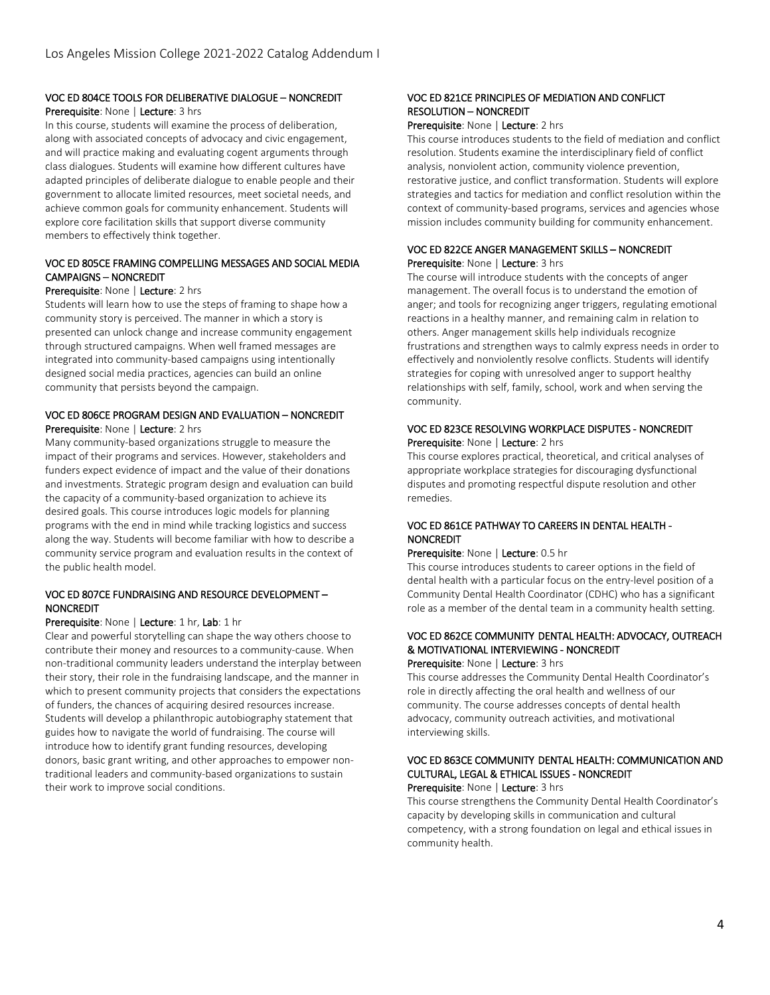## VOC ED 804CE TOOLS FOR DELIBERATIVE DIALOGUE – NONCREDIT

### Prerequisite: None | Lecture: 3 hrs

In this course, students will examine the process of deliberation, along with associated concepts of advocacy and civic engagement, and will practice making and evaluating cogent arguments through class dialogues. Students will examine how different cultures have adapted principles of deliberate dialogue to enable people and their government to allocate limited resources, meet societal needs, and achieve common goals for community enhancement. Students will explore core facilitation skills that support diverse community members to effectively think together.

### VOC ED 805CE FRAMING COMPELLING MESSAGES AND SOCIAL MEDIA CAMPAIGNS – NONCREDIT

### Prerequisite: None | Lecture: 2 hrs

Students will learn how to use the steps of framing to shape how a community story is perceived. The manner in which a story is presented can unlock change and increase community engagement through structured campaigns. When well framed messages are integrated into community-based campaigns using intentionally designed social media practices, agencies can build an online community that persists beyond the campaign.

### VOC ED 806CE PROGRAM DESIGN AND EVALUATION – NONCREDIT Prerequisite: None | Lecture: 2 hrs

Many community-based organizations struggle to measure the impact of their programs and services. However, stakeholders and funders expect evidence of impact and the value of their donations and investments. Strategic program design and evaluation can build the capacity of a community-based organization to achieve its desired goals. This course introduces logic models for planning programs with the end in mind while tracking logistics and success along the way. Students will become familiar with how to describe a community service program and evaluation results in the context of the public health model.

### VOC ED 807CE FUNDRAISING AND RESOURCE DEVELOPMENT – **NONCREDIT**

#### Prerequisite: None | Lecture: 1 hr, Lab: 1 hr

Clear and powerful storytelling can shape the way others choose to contribute their money and resources to a community-cause. When non-traditional community leaders understand the interplay between their story, their role in the fundraising landscape, and the manner in which to present community projects that considers the expectations of funders, the chances of acquiring desired resources increase. Students will develop a philanthropic autobiography statement that guides how to navigate the world of fundraising. The course will introduce how to identify grant funding resources, developing donors, basic grant writing, and other approaches to empower nontraditional leaders and community-based organizations to sustain their work to improve social conditions.

### VOC ED 821CE PRINCIPLES OF MEDIATION AND CONFLICT RESOLUTION – NONCREDIT

#### Prerequisite: None | Lecture: 2 hrs

This course introduces students to the field of mediation and conflict resolution. Students examine the interdisciplinary field of conflict analysis, nonviolent action, community violence prevention, restorative justice, and conflict transformation. Students will explore strategies and tactics for mediation and conflict resolution within the context of community-based programs, services and agencies whose mission includes community building for community enhancement.

### VOC ED 822CE ANGER MANAGEMENT SKILLS – NONCREDIT Prerequisite: None | Lecture: 3 hrs

The course will introduce students with the concepts of anger management. The overall focus is to understand the emotion of anger; and tools for recognizing anger triggers, regulating emotional reactions in a healthy manner, and remaining calm in relation to others. Anger management skills help individuals recognize frustrations and strengthen ways to calmly express needs in order to effectively and nonviolently resolve conflicts. Students will identify strategies for coping with unresolved anger to support healthy relationships with self, family, school, work and when serving the community.

### VOC ED 823CE RESOLVING WORKPLACE DISPUTES - NONCREDIT Prerequisite: None | Lecture: 2 hrs

This course explores practical, theoretical, and critical analyses of appropriate workplace strategies for discouraging dysfunctional disputes and promoting respectful dispute resolution and other remedies.

### VOC ED 861CE PATHWAY TO CAREERS IN DENTAL HEALTH - **NONCREDIT**

### Prerequisite: None | Lecture: 0.5 hr

This course introduces students to career options in the field of dental health with a particular focus on the entry-level position of a Community Dental Health Coordinator (CDHC) who has a significant role as a member of the dental team in a community health setting.

#### VOC ED 862CE COMMUNITY DENTAL HEALTH: ADVOCACY, OUTREACH & MOTIVATIONAL INTERVIEWING - NONCREDIT Prerequisite: None | Lecture: 3 hrs

This course addresses the Community Dental Health Coordinator's role in directly affecting the oral health and wellness of our community. The course addresses concepts of dental health advocacy, community outreach activities, and motivational interviewing skills.

## VOC ED 863CE COMMUNITY DENTAL HEALTH: COMMUNICATION AND CULTURAL, LEGAL & ETHICAL ISSUES - NONCREDIT

Prerequisite: None | Lecture: 3 hrs

This course strengthens the Community Dental Health Coordinator's capacity by developing skills in communication and cultural competency, with a strong foundation on legal and ethical issues in community health.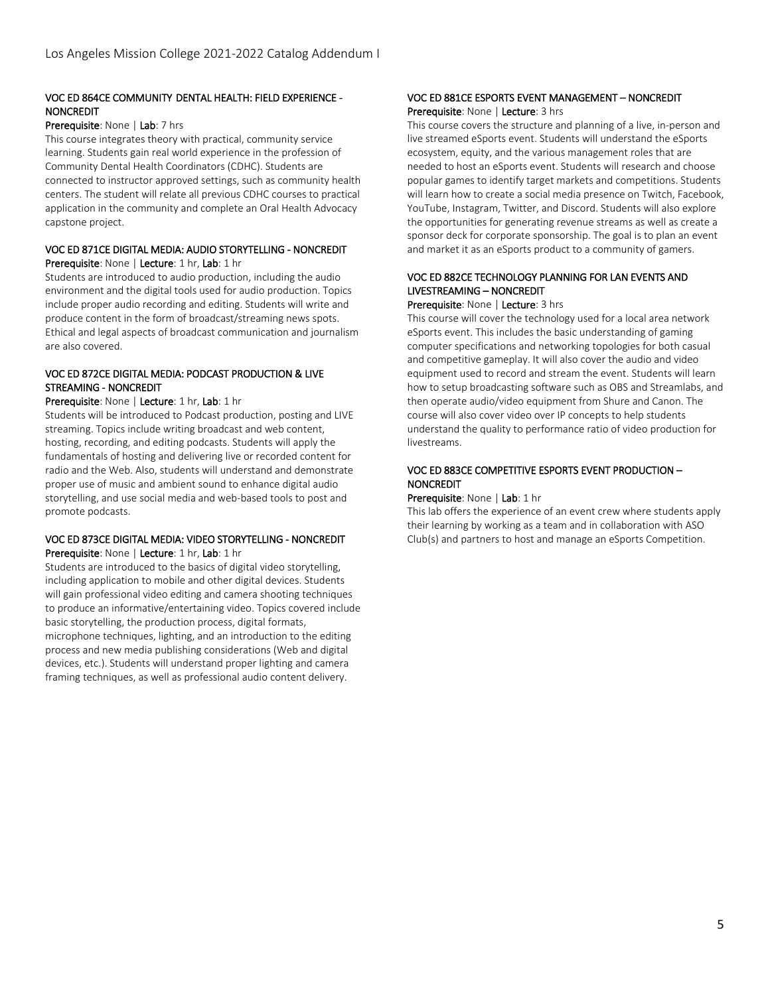## VOC ED 864CE COMMUNITY DENTAL HEALTH: FIELD EXPERIENCE - **NONCREDIT**

### Prerequisite: None | Lab: 7 hrs

This course integrates theory with practical, community service learning. Students gain real world experience in the profession of Community Dental Health Coordinators (CDHC). Students are connected to instructor approved settings, such as community health centers. The student will relate all previous CDHC courses to practical application in the community and complete an Oral Health Advocacy capstone project.

### VOC ED 871CE DIGITAL MEDIA: AUDIO STORYTELLING - NONCREDIT Prerequisite: None | Lecture: 1 hr, Lab: 1 hr

Students are introduced to audio production, including the audio environment and the digital tools used for audio production. Topics include proper audio recording and editing. Students will write and produce content in the form of broadcast/streaming news spots. Ethical and legal aspects of broadcast communication and journalism are also covered.

### VOC ED 872CE DIGITAL MEDIA: PODCAST PRODUCTION & LIVE STREAMING - NONCREDIT

### Prerequisite: None | Lecture: 1 hr, Lab: 1 hr

Students will be introduced to Podcast production, posting and LIVE streaming. Topics include writing broadcast and web content, hosting, recording, and editing podcasts. Students will apply the fundamentals of hosting and delivering live or recorded content for radio and the Web. Also, students will understand and demonstrate proper use of music and ambient sound to enhance digital audio storytelling, and use social media and web-based tools to post and promote podcasts.

### VOC ED 873CE DIGITAL MEDIA: VIDEO STORYTELLING - NONCREDIT Prerequisite: None | Lecture: 1 hr, Lab: 1 hr

Students are introduced to the basics of digital video storytelling, including application to mobile and other digital devices. Students will gain professional video editing and camera shooting techniques to produce an informative/entertaining video. Topics covered include basic storytelling, the production process, digital formats, microphone techniques, lighting, and an introduction to the editing process and new media publishing considerations (Web and digital devices, etc.). Students will understand proper lighting and camera framing techniques, as well as professional audio content delivery.

### VOC ED 881CE ESPORTS EVENT MANAGEMENT – NONCREDIT Prerequisite: None | Lecture: 3 hrs

This course covers the structure and planning of a live, in-person and live streamed eSports event. Students will understand the eSports ecosystem, equity, and the various management roles that are needed to host an eSports event. Students will research and choose popular games to identify target markets and competitions. Students will learn how to create a social media presence on Twitch, Facebook, YouTube, Instagram, Twitter, and Discord. Students will also explore the opportunities for generating revenue streams as well as create a sponsor deck for corporate sponsorship. The goal is to plan an event and market it as an eSports product to a community of gamers.

## VOC ED 882CE TECHNOLOGY PLANNING FOR LAN EVENTS AND LIVESTREAMING – NONCREDIT

### Prerequisite: None | Lecture: 3 hrs

This course will cover the technology used for a local area network eSports event. This includes the basic understanding of gaming computer specifications and networking topologies for both casual and competitive gameplay. It will also cover the audio and video equipment used to record and stream the event. Students will learn how to setup broadcasting software such as OBS and Streamlabs, and then operate audio/video equipment from Shure and Canon. The course will also cover video over IP concepts to help students understand the quality to performance ratio of video production for livestreams.

### VOC ED 883CE COMPETITIVE ESPORTS EVENT PRODUCTION – NONCREDIT

### Prerequisite: None | Lab: 1 hr

This lab offers the experience of an event crew where students apply their learning by working as a team and in collaboration with ASO Club(s) and partners to host and manage an eSports Competition.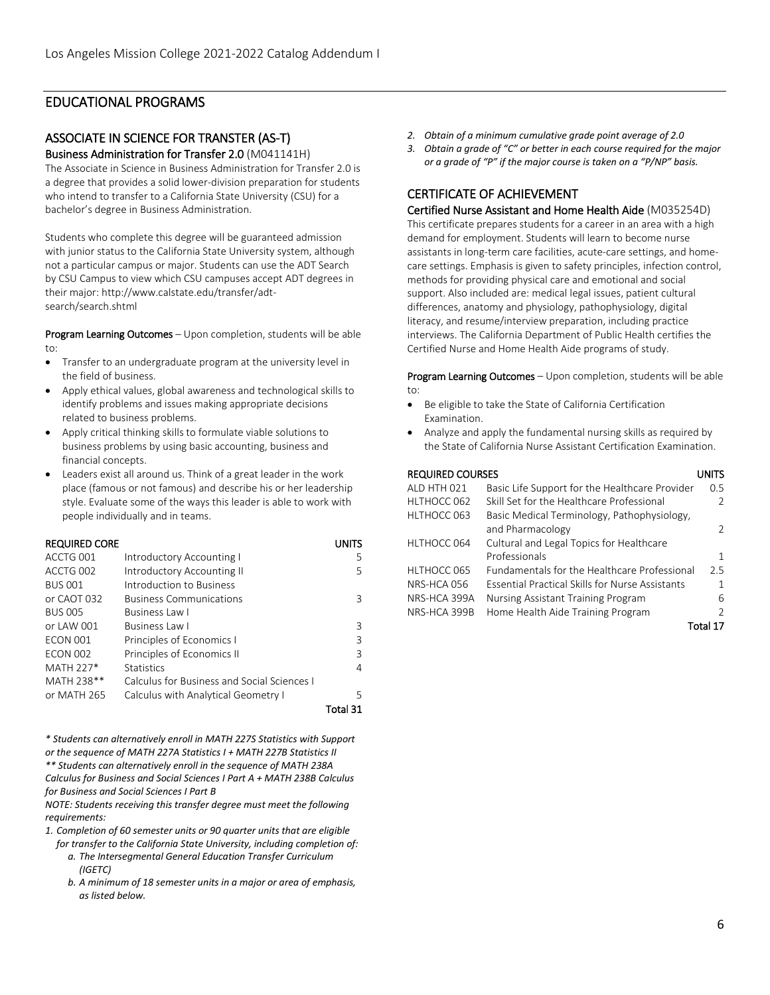## EDUCATIONAL PROGRAMS

## ASSOCIATE IN SCIENCE FOR TRANSTER (AS-T) Business Administration for Transfer 2.0 (M041141H)

The Associate in Science in Business Administration for Transfer 2.0 is a degree that provides a solid lower-division preparation for students who intend to transfer to a California State University (CSU) for a bachelor's degree in Business Administration.

Students who complete this degree will be guaranteed admission with junior status to the California State University system, although not a particular campus or major. Students can use the ADT Search by CSU Campus to view which CSU campuses accept ADT degrees in their major: http://www.calstate.edu/transfer/adtsearch/search.shtml

Program Learning Outcomes - Upon completion, students will be able to:

- Transfer to an undergraduate program at the university level in the field of business.
- Apply ethical values, global awareness and technological skills to identify problems and issues making appropriate decisions related to business problems.
- Apply critical thinking skills to formulate viable solutions to business problems by using basic accounting, business and financial concepts.
- Leaders exist all around us. Think of a great leader in the work place (famous or not famous) and describe his or her leadership style. Evaluate some of the ways this leader is able to work with people individually and in teams.

| <b>REQUIRED CORE</b> |                                             | UNITS    |
|----------------------|---------------------------------------------|----------|
| ACCTG 001            | Introductory Accounting I                   | 5        |
| ACCTG 002            | Introductory Accounting II                  | 5.       |
| <b>BUS 001</b>       | Introduction to Business                    |          |
| or CAOT 032          | <b>Business Communications</b>              | 3        |
| <b>BUS 005</b>       | Business Law I                              |          |
| or LAW 001           | Business Law L                              | 3        |
| <b>ECON 001</b>      | Principles of Economics I                   | 3        |
| <b>ECON 002</b>      | Principles of Economics II                  | 3        |
| MATH 227*            | <b>Statistics</b>                           | 4        |
| MATH 238**           | Calculus for Business and Social Sciences I |          |
| or MATH 265          | Calculus with Analytical Geometry I         | 5        |
|                      |                                             | Total 31 |

*\* Students can alternatively enroll in MATH 227S Statistics with Support or the sequence of MATH 227A Statistics I + MATH 227B Statistics II \*\* Students can alternatively enroll in the sequence of MATH 238A Calculus for Business and Social Sciences I Part A + MATH 238B Calculus for Business and Social Sciences I Part B*

*NOTE: Students receiving this transfer degree must meet the following requirements:*

*1. Completion of 60 semester units or 90 quarter units that are eligible for transfer to the California State University, including completion of:*

- *a. The Intersegmental General Education Transfer Curriculum (IGETC)*
- *b. A minimum of 18 semester units in a major or area of emphasis, as listed below.*
- *2. Obtain of a minimum cumulative grade point average of 2.0*
- *3. Obtain a grade of "C" or better in each course required for the major or a grade of "P" if the major course is taken on a "P/NP" basis.*

## CERTIFICATE OF ACHIEVEMENT

Certified Nurse Assistant and Home Health Aide (M035254D) This certificate prepares students for a career in an area with a high demand for employment. Students will learn to become nurse assistants in long-term care facilities, acute-care settings, and homecare settings. Emphasis is given to safety principles, infection control, methods for providing physical care and emotional and social support. Also included are: medical legal issues, patient cultural differences, anatomy and physiology, pathophysiology, digital literacy, and resume/interview preparation, including practice interviews. The California Department of Public Health certifies the Certified Nurse and Home Health Aide programs of study.

Program Learning Outcomes - Upon completion, students will be able to:

- Be eligible to take the State of California Certification Examination.
- Analyze and apply the fundamental nursing skills as required by the State of California Nurse Assistant Certification Examination.

### REQUIRED COURSES UNITS

| ALD HTH 021  | Basic Life Support for the Healthcare Provider         | 0.5      |
|--------------|--------------------------------------------------------|----------|
| HLTHOCC 062  | Skill Set for the Healthcare Professional              |          |
| HLTHOCC 063  | Basic Medical Terminology, Pathophysiology,            |          |
|              | and Pharmacology                                       |          |
| HLTHOCC 064  | Cultural and Legal Topics for Healthcare               |          |
|              | Professionals                                          |          |
| HLTHOCC 065  | <b>Fundamentals for the Healthcare Professional</b>    | 2.5      |
| NRS-HCA 056  | <b>Essential Practical Skills for Nurse Assistants</b> |          |
| NRS-HCA 399A | Nursing Assistant Training Program                     | 6        |
| NRS-HCA 399B | Home Health Aide Training Program                      |          |
|              |                                                        | Total 17 |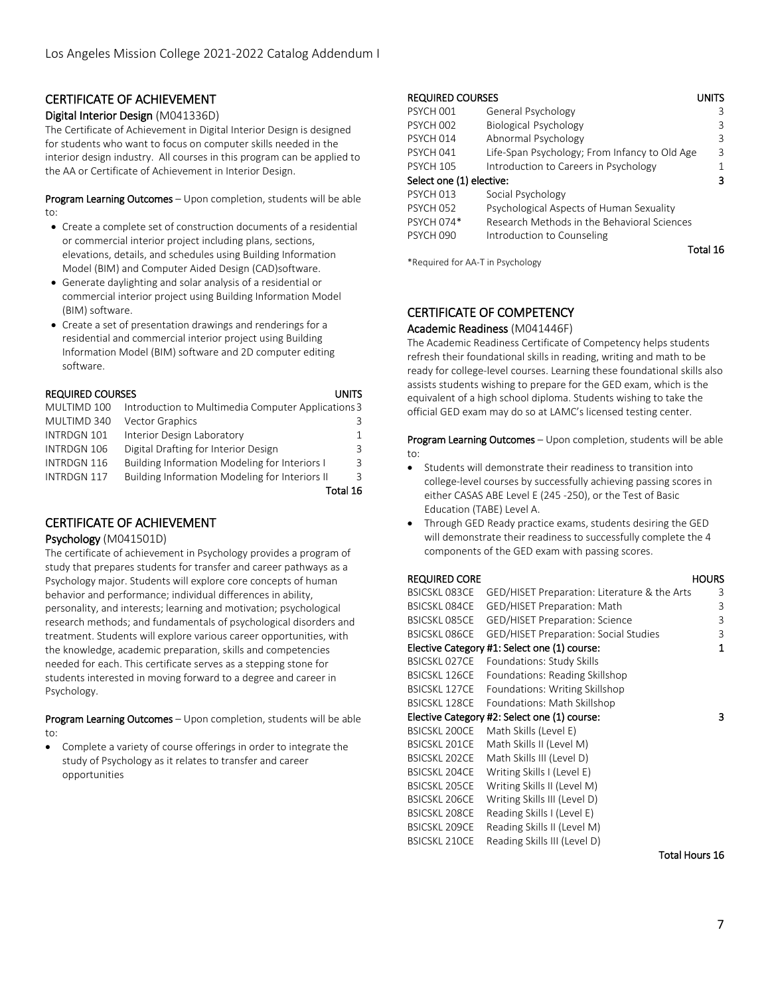## CERTIFICATE OF ACHIEVEMENT

### Digital Interior Design (M041336D)

The Certificate of Achievement in Digital Interior Design is designed for students who want to focus on computer skills needed in the interior design industry. All courses in this program can be applied to the AA or Certificate of Achievement in Interior Design.

Program Learning Outcomes – Upon completion, students will be able to:

- Create a complete set of construction documents of a residential or commercial interior project including plans, sections, elevations, details, and schedules using Building Information Model (BIM) and Computer Aided Design (CAD)software.
- Generate daylighting and solar analysis of a residential or commercial interior project using Building Information Model (BIM) software.
- Create a set of presentation drawings and renderings for a residential and commercial interior project using Building Information Model (BIM) software and 2D computer editing software.

### REQUIRED COURSES UNITS AND REQUIRED COURSES

| I<br>۰.<br>I |
|--------------|
|--------------|

| MULTIMD 100        | Introduction to Multimedia Computer Applications 3 |           |
|--------------------|----------------------------------------------------|-----------|
| MULTIMD 340        | Vector Graphics                                    |           |
| INTRDGN 101        | Interior Design Laboratory                         |           |
| INTRDGN 106        | Digital Drafting for Interior Design               | 3         |
| INTRDGN 116        | Building Information Modeling for Interiors I      | 3         |
| <b>INTRDGN 117</b> | Building Information Modeling for Interiors II     | ર         |
|                    |                                                    | Total 16. |

## CERTIFICATE OF ACHIEVEMENT

### Psychology (M041501D)

The certificate of achievement in Psychology provides a program of study that prepares students for transfer and career pathways as a Psychology major. Students will explore core concepts of human behavior and performance; individual differences in ability, personality, and interests; learning and motivation; psychological research methods; and fundamentals of psychological disorders and treatment. Students will explore various career opportunities, with the knowledge, academic preparation, skills and competencies needed for each. This certificate serves as a stepping stone for students interested in moving forward to a degree and career in Psychology.

Program Learning Outcomes - Upon completion, students will be able to:

• Complete a variety of course offerings in order to integrate the study of Psychology as it relates to transfer and career opportunities

## REQUIRED COURSES UNITS

| PSYCH 001                | General Psychology                            |   |
|--------------------------|-----------------------------------------------|---|
| <b>PSYCH 002</b>         | <b>Biological Psychology</b>                  | 3 |
| PSYCH 014                | Abnormal Psychology                           | ζ |
| PSYCH 041                | Life-Span Psychology; From Infancy to Old Age | 3 |
| <b>PSYCH 105</b>         | Introduction to Careers in Psychology         |   |
| Select one (1) elective: |                                               |   |
| PSYCH 013                | Social Psychology                             |   |
| <b>PSYCH 052</b>         | Psychological Aspects of Human Sexuality      |   |
| PSYCH 074*               | Research Methods in the Behavioral Sciences   |   |
| <b>PSYCH 090</b>         | Introduction to Counseling                    |   |
|                          | Total 16                                      |   |

\*Required for AA-T in Psychology

## CERTIFICATE OF COMPETENCY

### Academic Readiness (M041446F)

The Academic Readiness Certificate of Competency helps students refresh their foundational skills in reading, writing and math to be ready for college-level courses. Learning these foundational skills also assists students wishing to prepare for the GED exam, which is the equivalent of a high school diploma. Students wishing to take the official GED exam may do so at LAMC's licensed testing center.

Program Learning Outcomes - Upon completion, students will be able to:

- Students will demonstrate their readiness to transition into college-level courses by successfully achieving passing scores in either CASAS ABE Level E (245 -250), or the Test of Basic Education (TABE) Level A.
- Through GED Ready practice exams, students desiring the GED will demonstrate their readiness to successfully complete the 4 components of the GED exam with passing scores.

### REQUIRED CORE **HOURS** BSICSKL 083CE GED/HISET Preparation: Literature & the Arts 3 BSICSKL 084CE GED/HISET Preparation: Math 3 BSICSKL 085CE GED/HISET Preparation: Science 3 BSICSKL 086CE GED/HISET Preparation: Social Studies 3 Elective Category #1: Select one (1) course: 1 BSICSKL 027CE Foundations: Study Skills BSICSKL 126CE Foundations: Reading Skillshop BSICSKL 127CE Foundations: Writing Skillshop BSICSKL 128CE Foundations: Math Skillshop Elective Category #2: Select one (1) course: 3 BSICSKL 200CE Math Skills (Level E) BSICSKL 201CE Math Skills II (Level M) BSICSKL 202CE Math Skills III (Level D) BSICSKL 204CE Writing Skills I (Level E) BSICSKL 205CE Writing Skills II (Level M) BSICSKL 206CE Writing Skills III (Level D) BSICSKL 208CE Reading Skills I (Level E) BSICSKL 209CE Reading Skills II (Level M) BSICSKL 210CE Reading Skills III (Level D)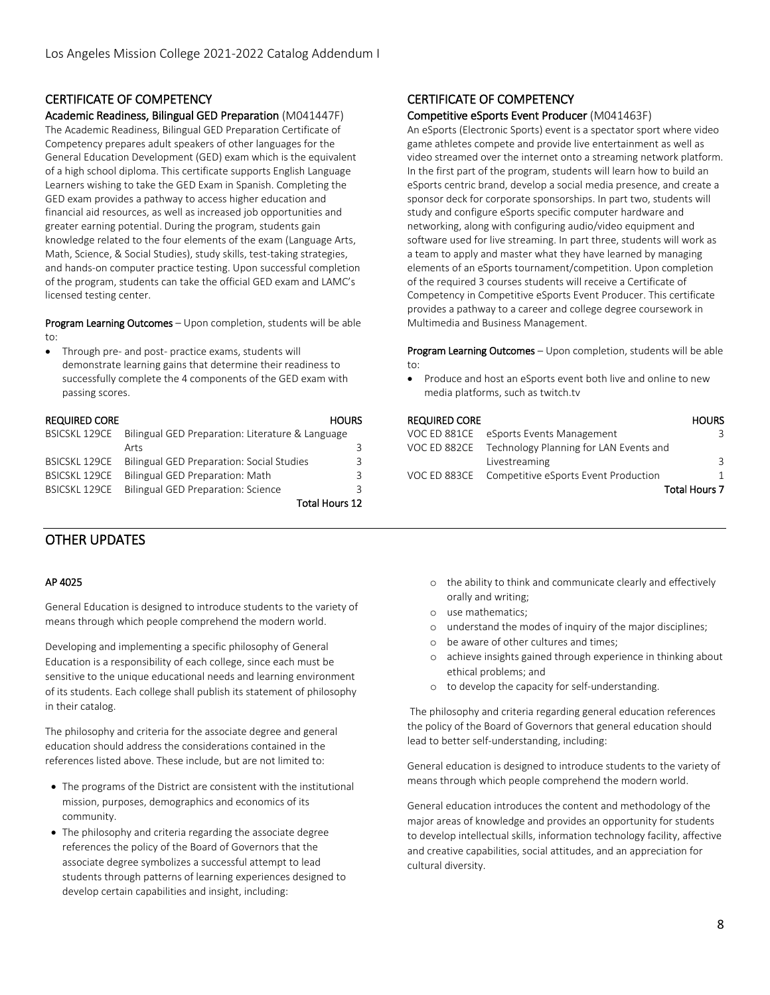## CERTIFICATE OF COMPETENCY

### Academic Readiness, Bilingual GED Preparation (M041447F)

The Academic Readiness, Bilingual GED Preparation Certificate of Competency prepares adult speakers of other languages for the General Education Development (GED) exam which is the equivalent of a high school diploma. This certificate supports English Language Learners wishing to take the GED Exam in Spanish. Completing the GED exam provides a pathway to access higher education and financial aid resources, as well as increased job opportunities and greater earning potential. During the program, students gain knowledge related to the four elements of the exam (Language Arts, Math, Science, & Social Studies), study skills, test-taking strategies, and hands-on computer practice testing. Upon successful completion of the program, students can take the official GED exam and LAMC's licensed testing center.

Program Learning Outcomes - Upon completion, students will be able to:

• Through pre- and post- practice exams, students will demonstrate learning gains that determine their readiness to successfully complete the 4 components of the GED exam with passing scores.

| <b>REQUIRED CORE</b> |                                                  | <b>HOURS</b> |
|----------------------|--------------------------------------------------|--------------|
| <b>BSICSKL 129CE</b> | Bilingual GED Preparation: Literature & Language |              |
|                      | Arts                                             | ₹            |
| <b>BSICSKL 129CE</b> | Bilingual GED Preparation: Social Studies        | 3            |
| <b>BSICSKL 129CE</b> | Bilingual GED Preparation: Math                  | ₹            |
| <b>BSICSKL 129CE</b> | Bilingual GED Preparation: Science               | ₹            |
|                      | <b>Total Hours 12</b>                            |              |

## OTHER UPDATES

### AP 4025

General Education is designed to introduce students to the variety of means through which people comprehend the modern world.

Developing and implementing a specific philosophy of General Education is a responsibility of each college, since each must be sensitive to the unique educational needs and learning environment of its students. Each college shall publish its statement of philosophy in their catalog.

The philosophy and criteria for the associate degree and general education should address the considerations contained in the references listed above. These include, but are not limited to:

- The programs of the District are consistent with the institutional mission, purposes, demographics and economics of its community.
- The philosophy and criteria regarding the associate degree references the policy of the Board of Governors that the associate degree symbolizes a successful attempt to lead students through patterns of learning experiences designed to develop certain capabilities and insight, including:

## CERTIFICATE OF COMPETENCY

### Competitive eSports Event Producer (M041463F)

An eSports (Electronic Sports) event is a spectator sport where video game athletes compete and provide live entertainment as well as video streamed over the internet onto a streaming network platform. In the first part of the program, students will learn how to build an eSports centric brand, develop a social media presence, and create a sponsor deck for corporate sponsorships. In part two, students will study and configure eSports specific computer hardware and networking, along with configuring audio/video equipment and software used for live streaming. In part three, students will work as a team to apply and master what they have learned by managing elements of an eSports tournament/competition. Upon completion of the required 3 courses students will receive a Certificate of Competency in Competitive eSports Event Producer. This certificate provides a pathway to a career and college degree coursework in Multimedia and Business Management.

Program Learning Outcomes - Upon completion, students will be able to:

• Produce and host an eSports event both live and online to new media platforms, such as twitch.tv

| <b>REQUIRED CORE</b> |                                                     | <b>HOURS</b>  |
|----------------------|-----------------------------------------------------|---------------|
| VOC ED 881CE         | eSports Events Management                           |               |
|                      | VOC ED 882CE Technology Planning for LAN Events and |               |
|                      | Livestreaming                                       |               |
|                      | VOC ED 883CE Competitive eSports Event Production   |               |
|                      |                                                     | Total Hours 7 |

- o the ability to think and communicate clearly and effectively orally and writing;
- o use mathematics;
- o understand the modes of inquiry of the major disciplines;
- o be aware of other cultures and times;
- o achieve insights gained through experience in thinking about ethical problems; and
- o to develop the capacity for self-understanding.

The philosophy and criteria regarding general education references the policy of the Board of Governors that general education should lead to better self-understanding, including:

General education is designed to introduce students to the variety of means through which people comprehend the modern world.

General education introduces the content and methodology of the major areas of knowledge and provides an opportunity for students to develop intellectual skills, information technology facility, affective and creative capabilities, social attitudes, and an appreciation for cultural diversity.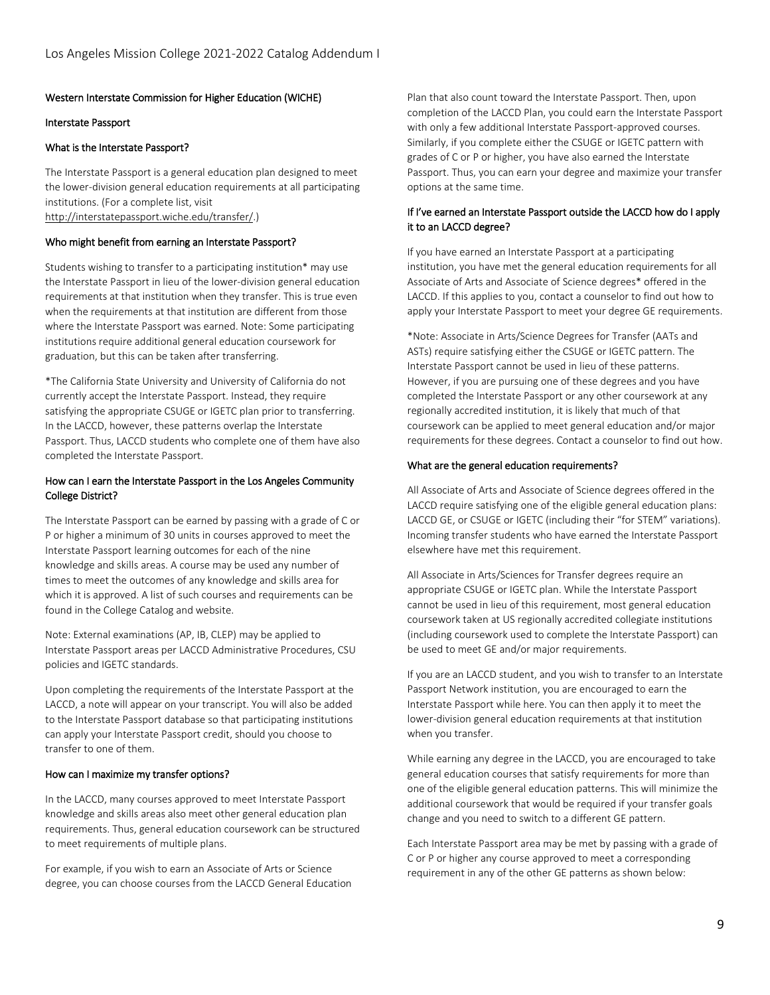### Western Interstate Commission for Higher Education (WICHE)

### Interstate Passport

### What is the Interstate Passport?

The Interstate Passport is a general education plan designed to meet the lower-division general education requirements at all participating institutions. (For a complete list, visit [http://interstatepassport.wiche.edu/transfer/.\)](http://interstatepassport.wiche.edu/transfer/)

### Who might benefit from earning an Interstate Passport?

Students wishing to transfer to a participating institution\* may use the Interstate Passport in lieu of the lower-division general education requirements at that institution when they transfer. This is true even when the requirements at that institution are different from those where the Interstate Passport was earned. Note: Some participating institutions require additional general education coursework for graduation, but this can be taken after transferring.

\*The California State University and University of California do not currently accept the Interstate Passport. Instead, they require satisfying the appropriate CSUGE or IGETC plan prior to transferring. In the LACCD, however, these patterns overlap the Interstate Passport. Thus, LACCD students who complete one of them have also completed the Interstate Passport.

### How can I earn the Interstate Passport in the Los Angeles Community College District?

The Interstate Passport can be earned by passing with a grade of C or P or higher a minimum of 30 units in courses approved to meet the Interstate Passport learning outcomes for each of the nine knowledge and skills areas. A course may be used any number of times to meet the outcomes of any knowledge and skills area for which it is approved. A list of such courses and requirements can be found in the College Catalog and website.

Note: External examinations (AP, IB, CLEP) may be applied to Interstate Passport areas per LACCD Administrative Procedures, CSU policies and IGETC standards.

Upon completing the requirements of the Interstate Passport at the LACCD, a note will appear on your transcript. You will also be added to the Interstate Passport database so that participating institutions can apply your Interstate Passport credit, should you choose to transfer to one of them.

### How can I maximize my transfer options?

In the LACCD, many courses approved to meet Interstate Passport knowledge and skills areas also meet other general education plan requirements. Thus, general education coursework can be structured to meet requirements of multiple plans.

For example, if you wish to earn an Associate of Arts or Science degree, you can choose courses from the LACCD General Education Plan that also count toward the Interstate Passport. Then, upon completion of the LACCD Plan, you could earn the Interstate Passport with only a few additional Interstate Passport-approved courses. Similarly, if you complete either the CSUGE or IGETC pattern with grades of C or P or higher, you have also earned the Interstate Passport. Thus, you can earn your degree and maximize your transfer options at the same time.

### If I've earned an Interstate Passport outside the LACCD how do I apply it to an LACCD degree?

If you have earned an Interstate Passport at a participating institution, you have met the general education requirements for all Associate of Arts and Associate of Science degrees\* offered in the LACCD. If this applies to you, contact a counselor to find out how to apply your Interstate Passport to meet your degree GE requirements.

\*Note: Associate in Arts/Science Degrees for Transfer (AATs and ASTs) require satisfying either the CSUGE or IGETC pattern. The Interstate Passport cannot be used in lieu of these patterns. However, if you are pursuing one of these degrees and you have completed the Interstate Passport or any other coursework at any regionally accredited institution, it is likely that much of that coursework can be applied to meet general education and/or major requirements for these degrees. Contact a counselor to find out how.

#### What are the general education requirements?

All Associate of Arts and Associate of Science degrees offered in the LACCD require satisfying one of the eligible general education plans: LACCD GE, or CSUGE or IGETC (including their "for STEM" variations). Incoming transfer students who have earned the Interstate Passport elsewhere have met this requirement.

All Associate in Arts/Sciences for Transfer degrees require an appropriate CSUGE or IGETC plan. While the Interstate Passport cannot be used in lieu of this requirement, most general education coursework taken at US regionally accredited collegiate institutions (including coursework used to complete the Interstate Passport) can be used to meet GE and/or major requirements.

If you are an LACCD student, and you wish to transfer to an Interstate Passport Network institution, you are encouraged to earn the Interstate Passport while here. You can then apply it to meet the lower-division general education requirements at that institution when you transfer.

While earning any degree in the LACCD, you are encouraged to take general education courses that satisfy requirements for more than one of the eligible general education patterns. This will minimize the additional coursework that would be required if your transfer goals change and you need to switch to a different GE pattern.

Each Interstate Passport area may be met by passing with a grade of C or P or higher any course approved to meet a corresponding requirement in any of the other GE patterns as shown below: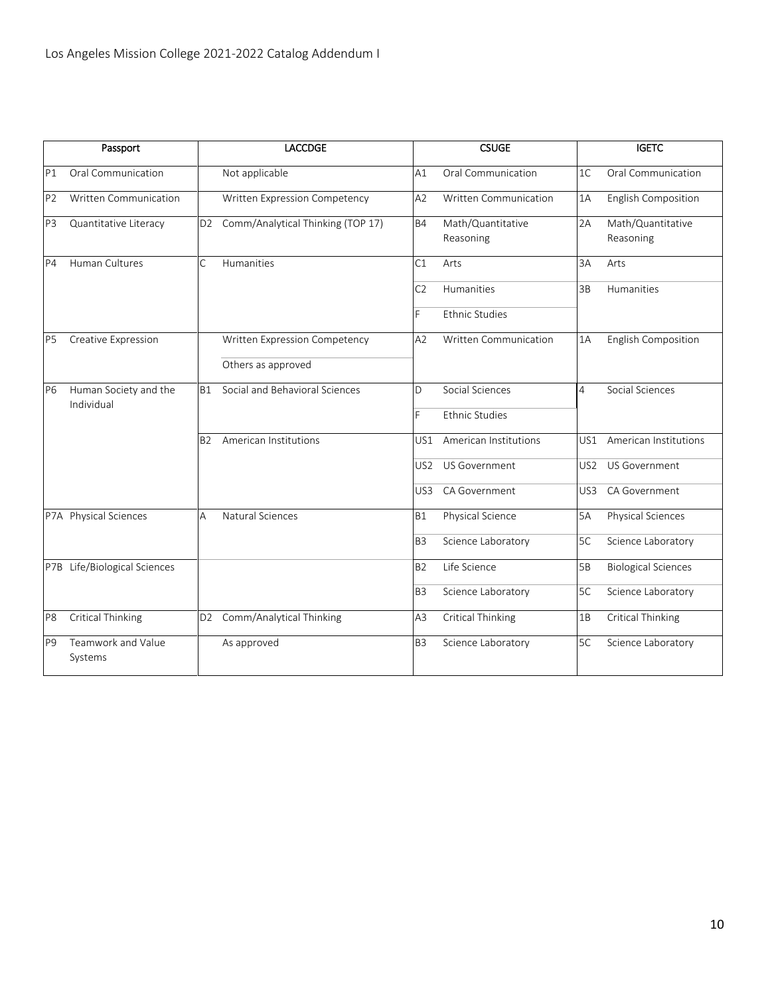|                | Passport                      | <b>LACCDGE</b>                                      | <b>CSUGE</b>                                | <b>IGETC</b>                            |
|----------------|-------------------------------|-----------------------------------------------------|---------------------------------------------|-----------------------------------------|
| P1             | Oral Communication            | Not applicable                                      | Oral Communication<br>A1                    | Oral Communication<br>1 <sup>C</sup>    |
| P <sub>2</sub> | Written Communication         | Written Expression Competency                       | Written Communication<br>A2                 | English Composition<br>1A               |
| P <sub>3</sub> | Quantitative Literacy         | Comm/Analytical Thinking (TOP 17)<br>D <sub>2</sub> | <b>B4</b><br>Math/Quantitative<br>Reasoning | 2A<br>Math/Quantitative<br>Reasoning    |
| P4             | Human Cultures                | Ċ<br>Humanities                                     | C1<br>Arts                                  | 3A<br>Arts                              |
|                |                               |                                                     | C <sub>2</sub><br>Humanities                | 3B<br>Humanities                        |
|                |                               |                                                     | F<br><b>Ethnic Studies</b>                  |                                         |
| P <sub>5</sub> | Creative Expression           | Written Expression Competency                       | A2<br><b>Written Communication</b>          | English Composition<br>1A               |
|                |                               | Others as approved                                  |                                             |                                         |
| P6             | Human Society and the         | Social and Behavioral Sciences<br>B1                | Social Sciences<br>$\Box$                   | Social Sciences<br>4                    |
|                | Individual                    |                                                     | F<br><b>Ethnic Studies</b>                  |                                         |
|                |                               | American Institutions<br>B2                         | American Institutions<br>US1                | US1<br>American Institutions            |
|                |                               |                                                     | US Government<br>US <sub>2</sub>            | US <sub>2</sub><br><b>US Government</b> |
|                |                               |                                                     | CA Government<br>US3                        | CA Government<br>US3                    |
|                | P7A Physical Sciences         | Natural Sciences<br>А                               | Physical Science<br><b>B1</b>               | Physical Sciences<br>5A                 |
|                |                               |                                                     | B <sub>3</sub><br>Science Laboratory        | 5C<br>Science Laboratory                |
|                | P7B Life/Biological Sciences  |                                                     | Life Science<br><b>B2</b>                   | 5B<br><b>Biological Sciences</b>        |
|                |                               |                                                     | B <sub>3</sub><br>Science Laboratory        | 5C<br>Science Laboratory                |
| P <sub>8</sub> | <b>Critical Thinking</b>      | Comm/Analytical Thinking<br>D <sub>2</sub>          | <b>Critical Thinking</b><br>A3              | Critical Thinking<br>1B                 |
| P <sub>9</sub> | Teamwork and Value<br>Systems | As approved                                         | Science Laboratory<br>B <sub>3</sub>        | 5C<br>Science Laboratory                |